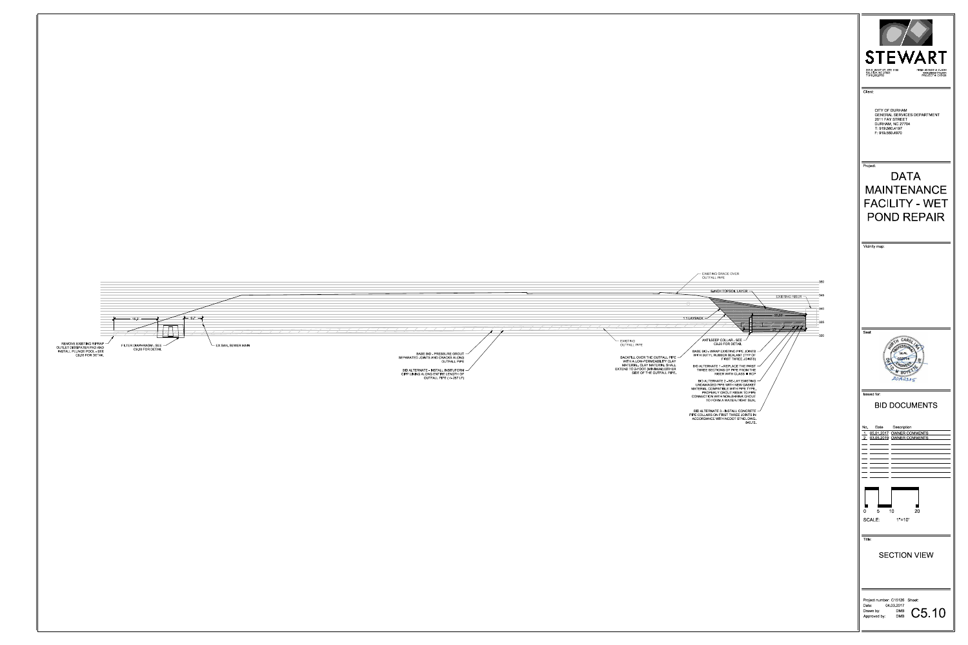LEXISTING<br>
OUTFALL PIPE OUTFALL PIPE ANTI-SEEP COLLAR - SEE C9.00 FOR DETAIL 6-INCH TOPSOIL LAYER 16.2' 20.00' RISER WITH CLASS III RCP BACKFILL OVER THE OUTFALL PIPE WITH A LOW-PERMEABILITY CLAY MATERIAL. CLAY MATERIAL SHALL EXTEND TO 2-FOOT (MINIMUM) EITHER SIDE OF THE OUTFALL PIPE. 23' 1:1 LAYBACK FILTER DIAPHRAGM - SEE C9.00 FOR DETAIL BASE BID - PRESSURE GROUT SEPARATED JOINTS AND CRACKS ALONG OUTFALL PIPE BID ALTERNATE - INSTALL INSITUFORM CIPP LINING ALONG ENTIRE LENGTH OF

|             | 6-INCH TOPSOIL LAYER -                                                    |                                 |                         |        |
|-------------|---------------------------------------------------------------------------|---------------------------------|-------------------------|--------|
|             |                                                                           |                                 | <b>EXISTING RISER -</b> | 345    |
|             |                                                                           |                                 |                         | $-340$ |
| 1:1 LAYBACK |                                                                           |                                 | 20.00 -                 |        |
|             |                                                                           |                                 |                         | $-335$ |
|             |                                                                           |                                 | 23 <sup>1</sup>         |        |
|             | ANTI-SEEP COLLAR - SEE                                                    |                                 |                         | $-330$ |
|             | C9.00 FOR DETAIL                                                          |                                 |                         |        |
|             | BASE BID - WRAP EXISTING PIPE JOINTS<br>WITH BUTYL RUBBER SEALANT (TYP OF |                                 |                         |        |
|             |                                                                           | FIRST THREE JOINTS)             |                         |        |
|             | BID ALTERNATE 1 - REPLACE THE FIRST<br>THREE SECTIONS OF PIPE FROM THE    |                                 |                         |        |
|             | BID ALTERNATE 2 - RE-LAY EXISTING                                         | <b>RISER WITH CLASS III RCP</b> |                         |        |
|             | UNDAMAGED PIPE WITH NEW GASKET<br>MATERIAL COMPATIBLE WITH PIPE TYPE.     |                                 |                         |        |
|             | PROPERLY GROUT RISER TO PIPE<br>CONNECTION WITH NON-SHRINK GROUT          |                                 |                         |        |
|             | TO FORM A WATER-TIGHT SEAL                                                |                                 |                         |        |
|             | BID ALTERNATE 3 - INSTALL CONCRETE                                        |                                 |                         |        |
|             | PIPE COLLARS ON FIRST THREE JOINTS IN<br>ACCORDANCE WITH NCDOT STND. DWG. |                                 |                         |        |
|             |                                                                           | 840 72                          |                         |        |
|             |                                                                           |                                 |                         |        |
|             |                                                                           |                                 |                         |        |
|             |                                                                           |                                 |                         |        |
|             |                                                                           |                                 |                         |        |
|             |                                                                           |                                 |                         |        |
|             |                                                                           |                                 |                         |        |
|             |                                                                           |                                 |                         |        |
|             |                                                                           |                                 |                         |        |
|             |                                                                           |                                 |                         |        |
|             |                                                                           |                                 |                         |        |
|             |                                                                           |                                 |                         |        |
|             |                                                                           |                                 |                         |        |
|             |                                                                           |                                 |                         |        |
|             |                                                                           |                                 |                         |        |
|             |                                                                           |                                 |                         |        |
|             |                                                                           |                                 |                         |        |
|             |                                                                           |                                 |                         |        |
|             |                                                                           |                                 |                         |        |
|             |                                                                           |                                 |                         |        |
|             |                                                                           |                                 |                         |        |

| STEWART<br>223 S WEST ST, STE 1100<br>FIRM LICENSE #: C-1051<br>RALEIGH, NC 27603<br>www stewartinc com<br>T 919 380 8750<br><b>PROJECT #: C15126</b> |
|-------------------------------------------------------------------------------------------------------------------------------------------------------|
| Client:                                                                                                                                               |
| <b>CITY OF DURHAM</b><br><b>GENERAL SERVICES DEPARTMENT</b><br>2011 FAY STREET<br>DURHAM, NC 27704<br>T: 919 560 4197<br>F: 919 560 4970              |
| Project:                                                                                                                                              |
| DAIA<br>MAINTENANCE<br>FACILITY - WET<br>POND REPAIR                                                                                                  |
| Vicinity map:                                                                                                                                         |
| Seal:<br>ARO<br><b>SAMA</b>                                                                                                                           |
| 719.030                                                                                                                                               |
| <b>Issued for:</b>                                                                                                                                    |
| <b>BID DOCUMENTS</b>                                                                                                                                  |
|                                                                                                                                                       |
| No.<br>Date<br>Description<br>1 05.01.2017 OWNER COMMENTS<br>03.05.2019 OWNER COMMENTS<br>2                                                           |
|                                                                                                                                                       |
|                                                                                                                                                       |
|                                                                                                                                                       |
| 0<br>- 5<br>-- 10<br>20<br>SCALE:<br>$1" = 10'$                                                                                                       |
| Title:                                                                                                                                                |
| <b>SECTION VIEW</b>                                                                                                                                   |
| Project number: C15126 Sheet:                                                                                                                         |
| 04.03.2017<br>Date:<br>C5.10<br>Drawn by:<br><b>DMB</b><br>Approved by:<br><b>DMB</b>                                                                 |